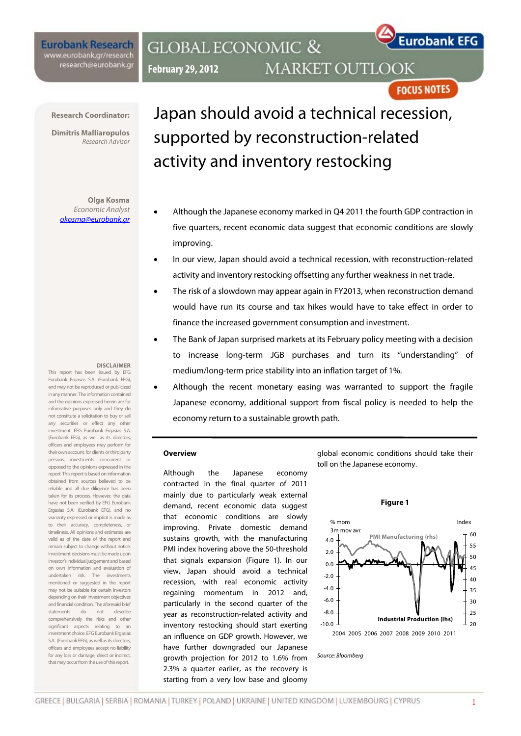**Eurobank Research** www.eurobank.gr/research research@eurobank.gr

## **GLOBAL ECONOMIC & MARKET OUTLOOK February 29, 2012**

**FOCUS NOTES** 

**Eurobank EFG** 

**Research Coordinator:** 

**Dimitris Malliaropulos**  Research Advisor

**Olga Kosma**  Economic Analyst okosma@eurobank.gr

#### **DISCLAIMER**

This report has been issued by EFG Eurobank Ergasias S.A. (Eurobank EFG), and may not be reproduced or publicized in any manner. The information contained and the opinions expressed herein are for informative purposes only and they do not constitute a solicitation to buy or sell any securities or effect any other investment. EFG Eurobank Ergasias S.A. (Eurobank EFG), as well as its directors, officers and employees may perform for their own account, for clients or third party persons, investments concurrent or opposed to the opinions expressed in the report. This report is based on information obtained from sources believed to be reliable and all due diligence has been taken for its process. However, the data have not been verified by EFG Eurobank Ergasias S.A. (Eurobank EFG), and no warranty expressed or implicit is made as to their accuracy, completeness, or timeliness. All opinions and estimates are valid as of the date of the report and remain subject to change without notice. Investment decisions must be made upon investor's individual judgement and based on own information and evaluation of undertaken risk. The investments mentioned or suggested in the report may not be suitable for certain investors depending on their investment objectives and financial condition. The aforesaid brief statements do not describe comprehensively the risks and other significant aspects relating to an investment choice. EFG Eurobank Ergasias S.A. (Eurobank EFG), as well as its directors, officers and employees accept no liability for any loss or damage, direct or indirect, that may occur from the use of this report.

# Japan should avoid a technical recession, supported by reconstruction-related activity and inventory restocking

- Although the Japanese economy marked in Q4 2011 the fourth GDP contraction in five quarters, recent economic data suggest that economic conditions are slowly improving.
- In our view, Japan should avoid a technical recession, with reconstruction-related activity and inventory restocking offsetting any further weakness in net trade.
- The risk of a slowdown may appear again in FY2013, when reconstruction demand would have run its course and tax hikes would have to take effect in order to finance the increased government consumption and investment.
- The Bank of Japan surprised markets at its February policy meeting with a decision to increase long-term JGB purchases and turn its "understanding" of medium/long-term price stability into an inflation target of 1%.
- Although the recent monetary easing was warranted to support the fragile Japanese economy, additional support from fiscal policy is needed to help the economy return to a sustainable growth path.

#### **Overview**

Although the Japanese economy contracted in the final quarter of 2011 mainly due to particularly weak external demand, recent economic data suggest that economic conditions are slowly improving. Private domestic demand sustains growth, with the manufacturing PMI index hovering above the 50-threshold that signals expansion (Figure 1). In our view, Japan should avoid a technical recession, with real economic activity regaining momentum in 2012 and, particularly in the second quarter of the year as reconstruction-related activity and inventory restocking should start exerting an influence on GDP growth. However, we have further downgraded our Japanese growth projection for 2012 to 1.6% from 2.3% a quarter earlier, as the recovery is starting from a very low base and gloomy

global economic conditions should take their toll on the Japanese economy.

**Figure 1** 



Source: Bloomberg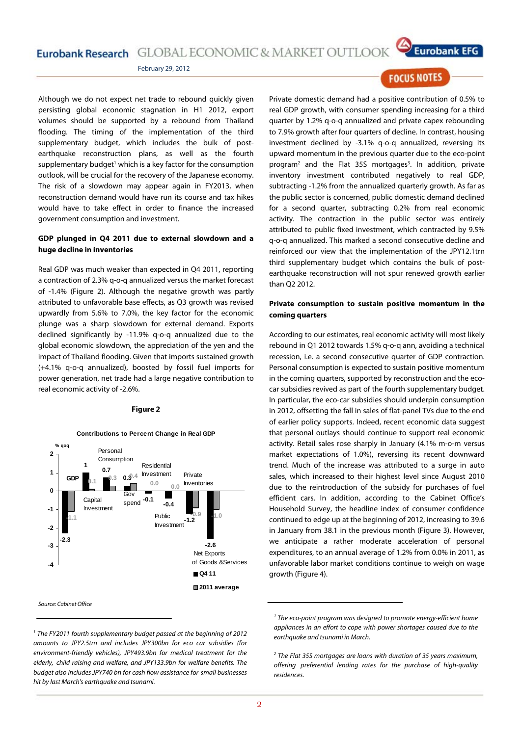# Eurobank Research GLOBAL ECONOMIC & MARKET OUTLOOK



February 29, 2012

Although we do not expect net trade to rebound quickly given persisting global economic stagnation in H1 2012, export volumes should be supported by a rebound from Thailand flooding. The timing of the implementation of the third supplementary budget, which includes the bulk of postearthquake reconstruction plans, as well as the fourth supplementary budget<sup>1</sup> which is a key factor for the consumption outlook, will be crucial for the recovery of the Japanese economy. The risk of a slowdown may appear again in FY2013, when reconstruction demand would have run its course and tax hikes would have to take effect in order to finance the increased government consumption and investment.

#### **GDP plunged in Q4 2011 due to external slowdown and a huge decline in inventories**

Real GDP was much weaker than expected in Q4 2011, reporting a contraction of 2.3% q-o-q annualized versus the market forecast of -1.4% (Figure 2). Although the negative growth was partly attributed to unfavorable base effects, as Q3 growth was revised upwardly from 5.6% to 7.0%, the key factor for the economic plunge was a sharp slowdown for external demand. Exports declined significantly by -11.9% q-o-q annualized due to the global economic slowdown, the appreciation of the yen and the impact of Thailand flooding. Given that imports sustained growth (+4.1% q-o-q annualized), boosted by fossil fuel imports for power generation, net trade had a large negative contribution to real economic activity of -2.6%.

#### **Figure 2**



#### <sup>1</sup> The FY2011 fourth supplementary budget passed at the beginning of 2012 amounts to JPY2.5trn and includes JPY300bn for eco car subsidies (for environment-friendly vehicles), JPY493.9bn for medical treatment for the elderly, child raising and welfare, and JPY133.9bn for welfare benefits. The budget also includes JPY740 bn for cash flow assistance for small businesses hit by last March's earthquake and tsunami.

### **FOCUS NOTES**

Private domestic demand had a positive contribution of 0.5% to real GDP growth, with consumer spending increasing for a third quarter by 1.2% q-o-q annualized and private capex rebounding to 7.9% growth after four quarters of decline. In contrast, housing investment declined by -3.1% q-o-q annualized, reversing its upward momentum in the previous quarter due to the eco-point program<sup>2</sup> and the Flat 35S mortgages<sup>3</sup>. In addition, private inventory investment contributed negatively to real GDP, subtracting -1.2% from the annualized quarterly growth. As far as the public sector is concerned, public domestic demand declined for a second quarter, subtracting 0.2% from real economic activity. The contraction in the public sector was entirely attributed to public fixed investment, which contracted by 9.5% q-o-q annualized. This marked a second consecutive decline and reinforced our view that the implementation of the JPY12.1trn third supplementary budget which contains the bulk of postearthquake reconstruction will not spur renewed growth earlier than Q2 2012.

#### **Private consumption to sustain positive momentum in the coming quarters**

According to our estimates, real economic activity will most likely rebound in Q1 2012 towards 1.5% q-o-q ann, avoiding a technical recession, i.e. a second consecutive quarter of GDP contraction. Personal consumption is expected to sustain positive momentum in the coming quarters, supported by reconstruction and the ecocar subsidies revived as part of the fourth supplementary budget. In particular, the eco-car subsidies should underpin consumption in 2012, offsetting the fall in sales of flat-panel TVs due to the end of earlier policy supports. Indeed, recent economic data suggest that personal outlays should continue to support real economic activity. Retail sales rose sharply in January (4.1% m-o-m versus market expectations of 1.0%), reversing its recent downward trend. Much of the increase was attributed to a surge in auto sales, which increased to their highest level since August 2010 due to the reintroduction of the subsidy for purchases of fuel efficient cars. In addition, according to the Cabinet Office's Household Survey, the headline index of consumer confidence continued to edge up at the beginning of 2012, increasing to 39.6 in January from 38.1 in the previous month (Figure 3). However, we anticipate a rather moderate acceleration of personal expenditures, to an annual average of 1.2% from 0.0% in 2011, as unfavorable labor market conditions continue to weigh on wage growth (Figure 4).

<sup>&</sup>lt;sup>1</sup> The eco-point program was designed to promote energy-efficient home appliances in an effort to cope with power shortages caused due to the earthquake and tsunami in March.

 $2$  The Flat 35S mortgages are loans with duration of 35 years maximum, offering preferential lending rates for the purchase of high-quality residences.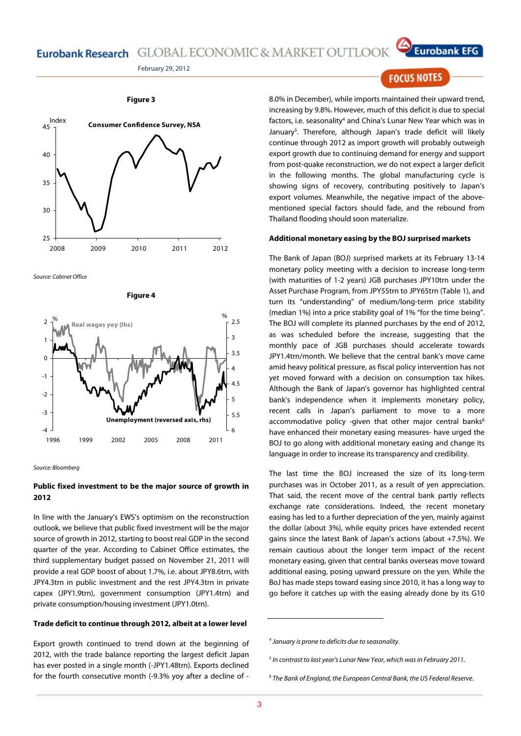# Eurobank Research GLOBAL ECONOMIC & MARKET OUTLOOK





Source: Cabinet Office





#### **Public fixed investment to be the major source of growth in 2012**

In line with the January's EWS's optimism on the reconstruction outlook, we believe that public fixed investment will be the major source of growth in 2012, starting to boost real GDP in the second quarter of the year. According to Cabinet Office estimates, the third supplementary budget passed on November 21, 2011 will provide a real GDP boost of about 1.7%, i.e. about JPY8.6trn, with JPY4.3trn in public investment and the rest JPY4.3trn in private capex (JPY1.9trn), government consumption (JPY1.4trn) and private consumption/housing investment (JPY1.0trn).

#### **Trade deficit to continue through 2012, albeit at a lower level**

Export growth continued to trend down at the beginning of 2012, with the trade balance reporting the largest deficit Japan has ever posted in a single month (-JPY1.48trn). Exports declined for the fourth consecutive month (-9.3% yoy after a decline of -

### **FOCUS NOTES**

**Eurobank EFG** 

8.0% in December), while imports maintained their upward trend, increasing by 9.8%. However, much of this deficit is due to special factors, i.e. seasonality<sup>4</sup> and China's Lunar New Year which was in January<sup>5</sup>. Therefore, although Japan's trade deficit will likely continue through 2012 as import growth will probably outweigh export growth due to continuing demand for energy and support from post-quake reconstruction, we do not expect a larger deficit in the following months. The global manufacturing cycle is showing signs of recovery, contributing positively to Japan's export volumes. Meanwhile, the negative impact of the abovementioned special factors should fade, and the rebound from Thailand flooding should soon materialize.

#### **Additional monetary easing by the BOJ surprised markets**

The Bank of Japan (BOJ) surprised markets at its February 13-14 monetary policy meeting with a decision to increase long-term (with maturities of 1-2 years) JGB purchases JPY10trn under the Asset Purchase Program, from JPY55trn to JPY65trn (Table 1), and turn its "understanding" of medium/long-term price stability (median 1%) into a price stability goal of 1% "for the time being". The BOJ will complete its planned purchases by the end of 2012, as was scheduled before the increase, suggesting that the monthly pace of JGB purchases should accelerate towards JPY1.4trn/month. We believe that the central bank's move came amid heavy political pressure, as fiscal policy intervention has not yet moved forward with a decision on consumption tax hikes. Although the Bank of Japan's governor has highlighted central bank's independence when it implements monetary policy, recent calls in Japan's parliament to move to a more accommodative policy -given that other major central banks<sup>6</sup> have enhanced their monetary easing measures- have urged the BOJ to go along with additional monetary easing and change its language in order to increase its transparency and credibility.

The last time the BOJ increased the size of its long-term purchases was in October 2011, as a result of yen appreciation. That said, the recent move of the central bank partly reflects exchange rate considerations. Indeed, the recent monetary easing has led to a further depreciation of the yen, mainly against the dollar (about 3%), while equity prices have extended recent gains since the latest Bank of Japan's actions (about +7.5%). We remain cautious about the longer term impact of the recent monetary easing, given that central banks overseas move toward additional easing, posing upward pressure on the yen. While the BoJ has made steps toward easing since 2010, it has a long way to go before it catches up with the easing already done by its G10

4 January is prone to deficits due to seasonality.

 $<sup>5</sup>$  In contrast to last year's Lunar New Year, which was in February 2011.</sup>

<sup>&</sup>lt;sup>6</sup> The Bank of England, the European Central Bank, the US Federal Reserve.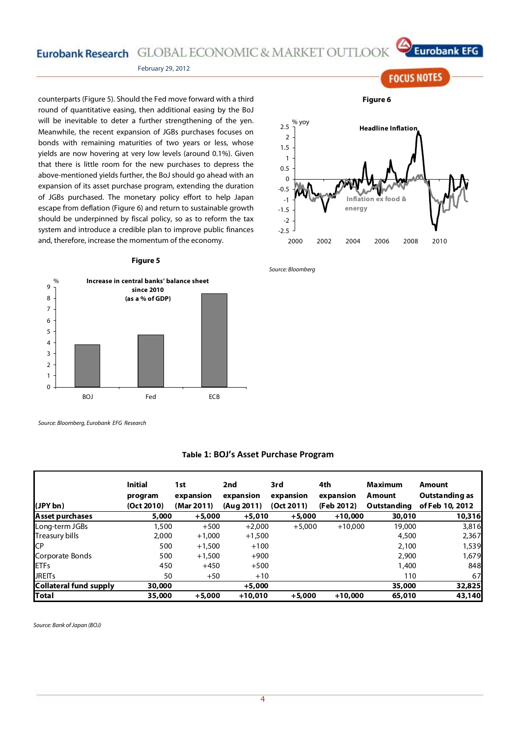Eurobank Research GLOBAL ECONOMIC & MARKET OUTLOOK



**FOCUS NOTES** 

#### February 29, 2012

counterparts (Figure 5). Should the Fed move forward with a third round of quantitative easing, then additional easing by the BoJ will be inevitable to deter a further strengthening of the yen. Meanwhile, the recent expansion of JGBs purchases focuses on bonds with remaining maturities of two years or less, whose yields are now hovering at very low levels (around 0.1%). Given that there is little room for the new purchases to depress the above-mentioned yields further, the BoJ should go ahead with an expansion of its asset purchase program, extending the duration of JGBs purchased. The monetary policy effort to help Japan escape from deflation (Figure 6) and return to sustainable growth should be underpinned by fiscal policy, so as to reform the tax system and introduce a credible plan to improve public finances and, therefore, increase the momentum of the economy.

#### **Figure 5**



Source: Bloomberg, Eurobank EFG Research

|                        | <b>Initial</b> | 1st        | 2nd        | 3rd        | 4th        | <b>Maximum</b> | Amount          |
|------------------------|----------------|------------|------------|------------|------------|----------------|-----------------|
|                        | program        | expansion  | expansion  | expansion  | expansion  | Amount         | Outstanding as  |
| (JPY bn)               | (Oct 2010)     | (Mar 2011) | (Aug 2011) | (Oct 2011) | (Feb 2012) | Outstanding    | of Feb 10, 2012 |
| Asset purchases        | 5,000          | $+5,000$   | $+5,010$   | $+5,000$   | $+10,000$  | 30,010         | 10,316          |
| Long-term JGBs         | 1,500          | $+500$     | $+2.000$   | $+5.000$   | $+10.000$  | 19,000         | 3,816           |
| Treasury bills         | 2,000          | $+1,000$   | $+1,500$   |            |            | 4,500          | 2,367           |
| СP                     | 500            | $+1.500$   | $+100$     |            |            | 2,100          | 1,539           |
| Corporate Bonds        | 500            | $+1.500$   | $+900$     |            |            | 2,900          | 1.679           |
| <b>ETFs</b>            | 450            | $+450$     | $+500$     |            |            | 1,400          | 848             |
| <b>JREITs</b>          | 50             | $+50$      | $+10$      |            |            | 110            | 67              |
| Collateral fund supply | 30,000         |            | $+5.000$   |            |            | 35,000         | 32,825          |
| Total                  | 35,000         | $+5,000$   | $+10,010$  | $+5,000$   | $+10,000$  | 65,010         | 43,140          |

#### **Table 1: BOJ's Asset Purchase Program**

Source: Bank of Japan (BOJ)

**Figure 6** 



Source: Bloomberg